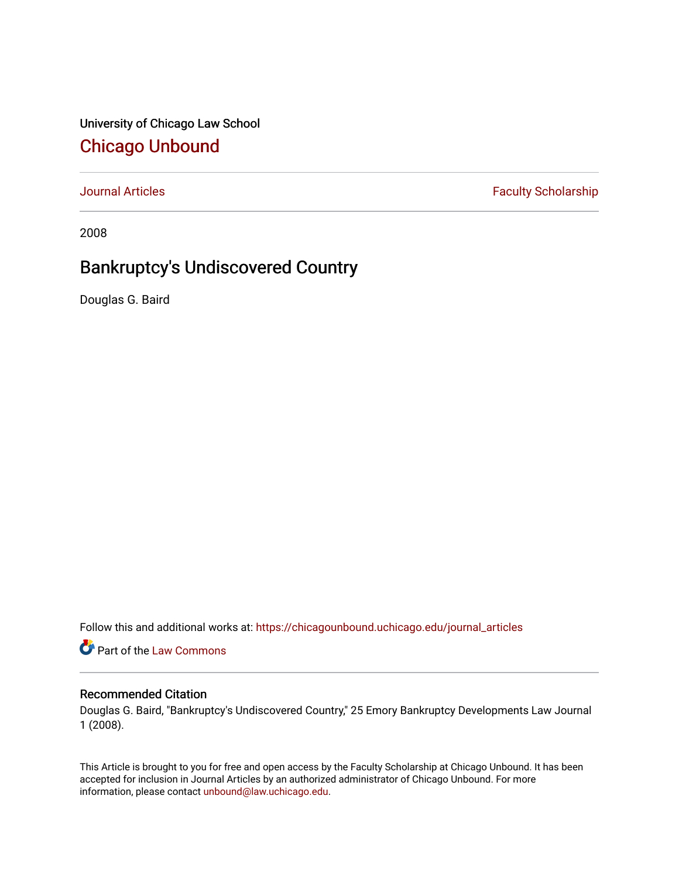University of Chicago Law School [Chicago Unbound](https://chicagounbound.uchicago.edu/)

[Journal Articles](https://chicagounbound.uchicago.edu/journal_articles) **Faculty Scholarship Faculty Scholarship** 

2008

# Bankruptcy's Undiscovered Country

Douglas G. Baird

Follow this and additional works at: [https://chicagounbound.uchicago.edu/journal\\_articles](https://chicagounbound.uchicago.edu/journal_articles?utm_source=chicagounbound.uchicago.edu%2Fjournal_articles%2F4592&utm_medium=PDF&utm_campaign=PDFCoverPages) 

Part of the [Law Commons](http://network.bepress.com/hgg/discipline/578?utm_source=chicagounbound.uchicago.edu%2Fjournal_articles%2F4592&utm_medium=PDF&utm_campaign=PDFCoverPages)

## Recommended Citation

Douglas G. Baird, "Bankruptcy's Undiscovered Country," 25 Emory Bankruptcy Developments Law Journal 1 (2008).

This Article is brought to you for free and open access by the Faculty Scholarship at Chicago Unbound. It has been accepted for inclusion in Journal Articles by an authorized administrator of Chicago Unbound. For more information, please contact [unbound@law.uchicago.edu](mailto:unbound@law.uchicago.edu).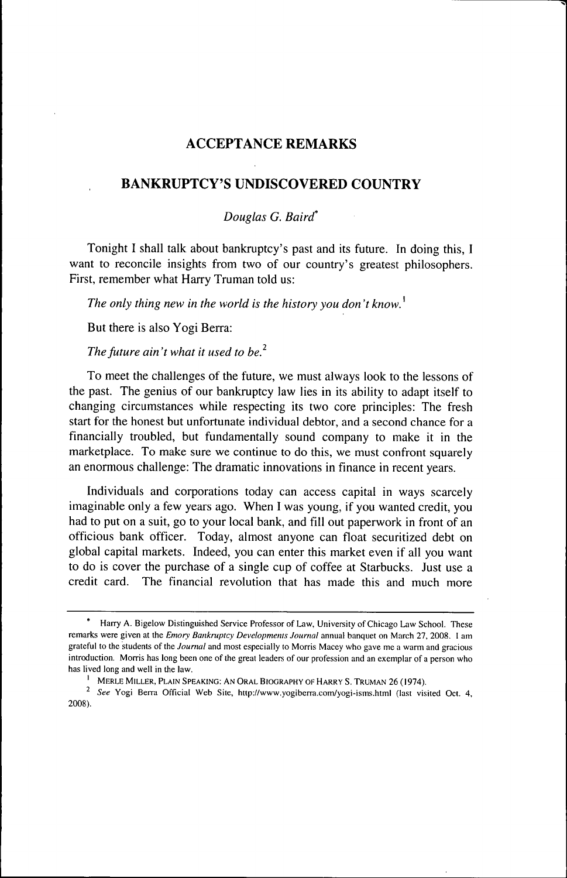# ACCEPTANCE REMARKS

# BANKRUPTCY'S UNDISCOVERED COUNTRY

## *Douglas G. Baird\**

Tonight I shall talk about bankruptcy's past and its future. In doing this, I want to reconcile insights from two of our country's greatest philosophers. First, remember what Harry Truman told us:

*The only thing new in the world is the history you don't know.*

But there is also Yogi Berra:

*The future ain't what it used to be?*

To meet the challenges of the future, we must always look to the lessons of the past. The genius of our bankruptcy law lies in its ability to adapt itself to changing circumstances while respecting its two core principles: The fresh start for the honest but unfortunate individual debtor, and a second chance for a financially troubled, but fundamentally sound company to make it in the marketplace. To make sure we continue to do this, we must confront squarely an enormous challenge: The dramatic innovations in finance in recent years.

Individuals and corporations today can access capital in ways scarcely imaginable only a few years ago. When I was young, if you wanted credit, you had to put on a suit, go to your local bank, and fill out paperwork in front of an officious bank officer. Today, almost anyone can float securitized debt on global capital markets. Indeed, you can enter this market even if all you want to do is cover the purchase of a single cup of coffee at Starbucks. Just use a credit card. The financial revolution that has made this and much more

Harry A. Bigelow Distinguished Service Professor of Law, University of Chicago Law School. These remarks were given at the *Emory Bankruptcy Developments Journal* annual banquet on March 27. 2008. I am grateful to the students of the *Journal* and most especially to Morris Maeey who gave me a warm and gracious introduction. Morris has long been one of the great leaders of our profession and an exemplar of a person who has lived long and well in the law.

<sup>&</sup>lt;sup>1</sup> MERLE MILLER, PLAIN SPEAKING: AN ORAL BIOGRAPHY OF HARRY S. TRUMAN 26 (1974).

<sup>&</sup>lt;sup>2</sup> See Yogi Berra Official Web Site, http://www.yogiberra.com/yogi-isms.html (last visited Oct. 4, 2008).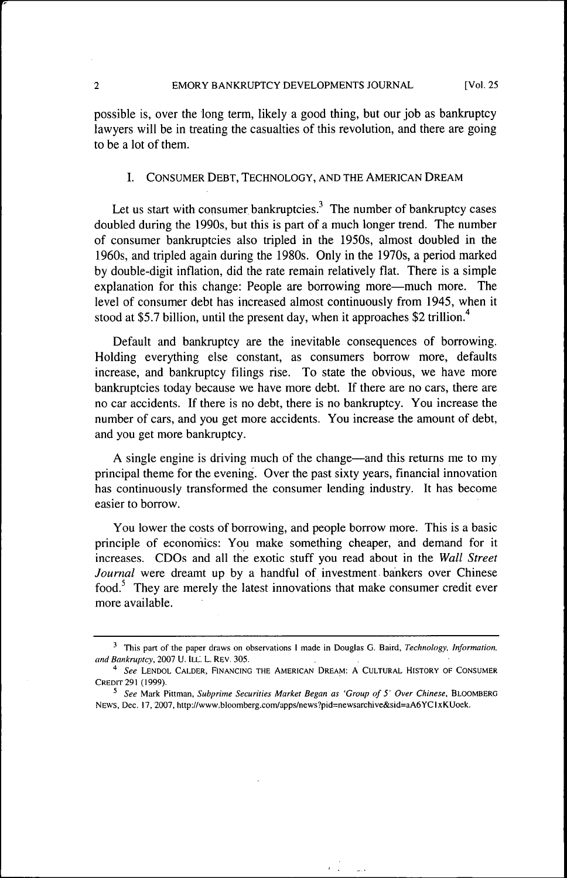possible is, over the long term, likely a good thing, but our job as bankruptcy lawyers will be in treating the casualties of this revolution, and there are going to be a lot of them.

#### I. CONSUMER DEBT, TECHNOLOGY, AND THE AMERICAN DREAM

Let us start with consumer bankruptcies.<sup>3</sup> The number of bankruptcy cases doubled during the 1990s, but this is part of a much longer trend. The number of consumer bankruptcies also tripled in the 1950s, almost doubled in the 1960s, and tripled again during the 1980s. Only in the 1970s, a period marked by double-digit inflation, did the rate remain relatively flat. There is a simple explanation for this change: People are borrowing more—much more. The level of consumer debt has increased almost continuously from 1945, when it stood at \$5.7 billion, until the present day, when it approaches \$2 trillion.<sup>4</sup>

Default and bankruptcy are the inevitable consequences of borrowing. Holding everything else constant, as consumers borrow more, defaults increase, and bankruptcy fllings rise. To state the obvious, we have more bankruptcies today because we have more debt. If there are no cars, there are no car accidents. If there is no debt, there is no bankruptcy. You increase the number of cars, and you get more accidents. You increase the amount of debt, and you get more bankruptcy.

A single engine is driving much of the change—and this returns me to my principal theme for the evening. Over the past sixty years, financial innovation has continuously transformed the consumer lending industry. It has become easier to borrow.

You lower the costs of borrowing, and people borrow more. This is a basic principle of economics: You make something cheaper, and demand for it increases. CDOs and all the exotic stuff you read about in the *Wall Street Journal* were dreamt up by a handful of investment bankers over Chinese food. $<sup>5</sup>$  They are merely the latest innovations that make consumer credit ever</sup> more available.

<sup>&</sup>lt;sup>3</sup> This part of the paper draws on observations I made in Douglas G. Baird, *Technology, Information*, *and Bankruptcy,* 2007 U. ILL. L. REV. 305.

<sup>&</sup>quot;• *See* LENDOL CALDER, FINANCING THE AMERICAN DREAM: A CULTURAL HISTORY OF CONSUMER CREDIT 291 (1999).

<sup>^</sup> *See* Mark Pittman, *Subprime Securities Market Began as 'Group of 5' Over Chinese,* BLOOMBERG NEWS, Dec. 17, 2007, http://www.bloomberg.com/apps/news?pid=newsarchive&sid=aA6YCIxKUoek.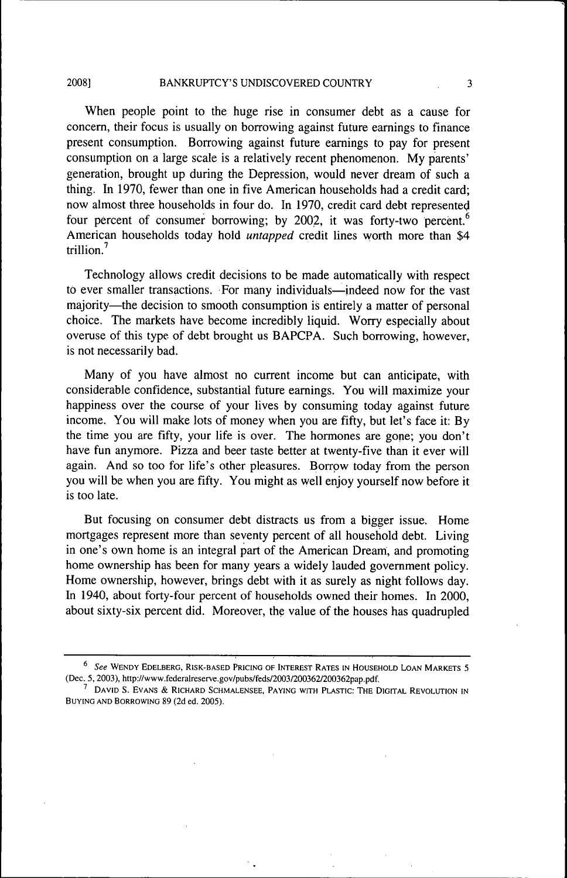When people point to the huge rise in consumer debt as a cause for concern, their focus is usually on borrowing against future earnings to finance present consumption. Borrowing against future earnings to pay for present consumption on a large scale is a relatively recent phenomenon. My parents' generation, brought up during the Depression, would never dream of such a thing. In 1970, fewer than one in five American households had a credit card; now almost three households in four do. In 1970, credit card debt represented four percent of consumer borrowing; by 2002, it was forty-two percent.<sup>6</sup> American households today hold *untapped* credit lines worth more than \$4 trillion. $<sup>7</sup>$ </sup>

Technology allows credit decisions to be made automatically with respect to ever smaller transactions. For many individuals—indeed now for the vast majority—the decision to smooth consumption is entirely a matter of personal choice. The markets have become incredibly liquid. Worry especially about overuse of this type of debt brought us BAPCPA. Such borrowing, however, is not necessarily bad.

Many of you have almost no current income but can anticipate, with considerable confidence, substantial future earnings. You will maximize your happiness over the course of your lives by consuming today against future income. You will make lots of money when you are fifty, but let's face it: By the time you are fifty, your life is over. The hormones are gone; you don't have fun anymore. Pizza and beer taste better at twenty-five than it ever will again. And so too for life's other pleasures. Borrow today from the person you will be when you are fifty. You might as well enjoy yourself now before it is too late.

But focusing on consumer debt distracts us from a bigger issue. Home mortgages represent more than seventy percent of all household debt. Living in one's own home is an integral part of the American Dream, and promoting home ownership has been for many years a widely lauded govemment policy. Home ownership, however, brings debt with it as surely as night follows day. In 1940, about forty-four percent of households owned their homes. In 2000, about sixty-six percent did. Moreover, the value of the houses has quadrupled

<sup>\*</sup> *See* WENDY EDELBERG, RISK-BASED PRICING OF INTEREST RATES IN HOUSEHOLD LOAN MARKETS 5 (Dec. 5, 2003), http://www.federalreserve.gov/pubs/feds/2003/200362/200362pap.pdf.

 $^{\prime}$  David S. Evans & Richard Schmalensee, Paying with Plastic: The Digital Revolution in BUYING AND BORROWING 89 (2d ed. 2005).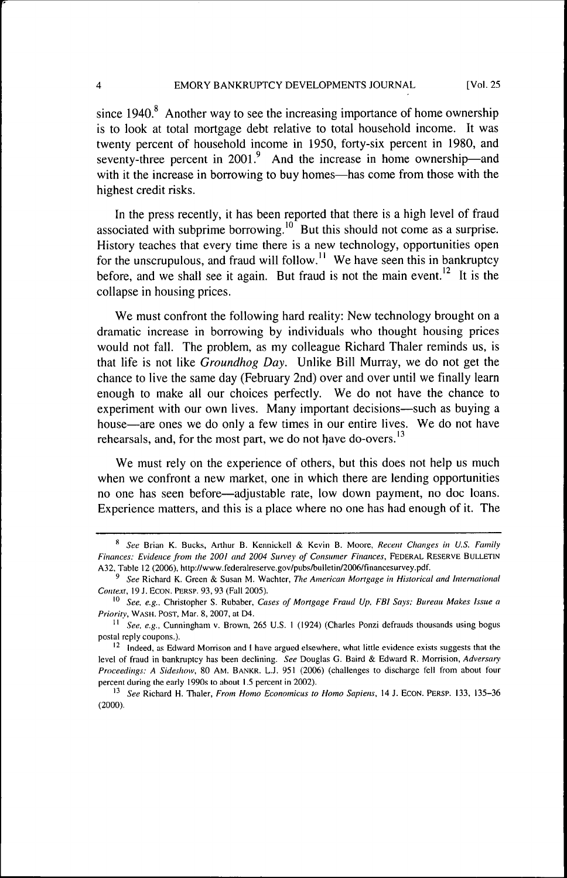since  $1940$ .<sup>8</sup> Another way to see the increasing importance of home ownership is to look at total mortgage debt relative to total household income. It was twenty percent of household income in 1950, forty-six percent in 1980, and seventy-three percent in 2001.<sup>9</sup> And the increase in home ownership—and with it the increase in borrowing to buy homes—has come from those with the highest credit risks.

In the press recently, it has been reported that there is a high level of fraud associated with subprime borrowing.<sup>10</sup> But this should not come as a surprise. History teaches that every time there is a new technology, opportunities open for the unscrupulous, and fraud will follow.<sup>11</sup> We have seen this in bankruptcy before, and we shall see it again. But fraud is not the main event.<sup>12</sup> It is the collapse in housing prices.

We must confront the following hard reality: New technology brought on a dramatic increase in borrowing by individuals who thought housing prices would not fall. The problem, as my colleague Richard Thaler reminds us, is that life is not like *Groundhog Day.* Unlike Bill Murray, we do not get the chance to live the same day (February 2nd) over and over until we finally learn enough to make all our choices perfectly. We do not have the chance to experiment with our own lives. Many important decisions—such as buying a house—are ones we do only a few times in our entire lives. We do not have rehearsals, and, for the most part, we do not have do-overs. $^{13}$ 

We must rely on the experience of others, but this does not help us much when we confront a new market, one in which there are lending opportunities no one has seen before—adjustable rate, low down payment, no doc loans. Experience matters, and this is a place where no one has had enough of it. The

<sup>&</sup>quot; *See* Brian K. Bucks, Arthur B. Kennickell & Kevin B. Moore, *Recent Changes in U.S. Family Finances: Fvidence from ihe 2001 and 2004 Siiirey of Consumer Finances,* FEDERAL RESERVE BULLETIN A32. Table 12 (2006). http://www.federalreserve.gov/pubs/bulletin/2006/financesurvey.pdf.

<sup>&#</sup>x27; *See* Richard K. Green & Susan M. Wächter, *The American Mortgage in Historical and International Context,* 19 J. ECON. PERSP. 93, 93 (Fall 2005).

<sup>&</sup>lt;sup>10</sup> See, e.g., Christopher S. Rubaber, Cases of Mortgage Fraud Up, FBI Says; Bureau Makes Issue a *Priority,* WASH. POST, Mar. 8, 2007, at D4.

<sup>&</sup>lt;sup>11</sup> See, e.g., Cunningham v. Brown, 265 U.S. 1 (1924) (Charles Ponzi defrauds thousands using bogus postal reply coupons.).

 $<sup>12</sup>$  Indeed, as Edward Morrison and I have argued elsewhere, what little evidence exists suggests that the</sup> level of fraud in bankruptcy has been declining. *See* Douglas G. Baird & Edward R. Morrision, *Adversary Proceedings: A Sideshow,* 80 AM. BANKR. L.J. 951 (2006) (challenges to discharge fell from about four percent during the early 1990s to about 1.5 percent in 2002).

<sup>&</sup>lt;sup>13</sup> See Richard H. Thaler, *From Homo Economicus to Homo Sapiens*, 14 J. ECON. PERSP. 133, 135-36 (2000).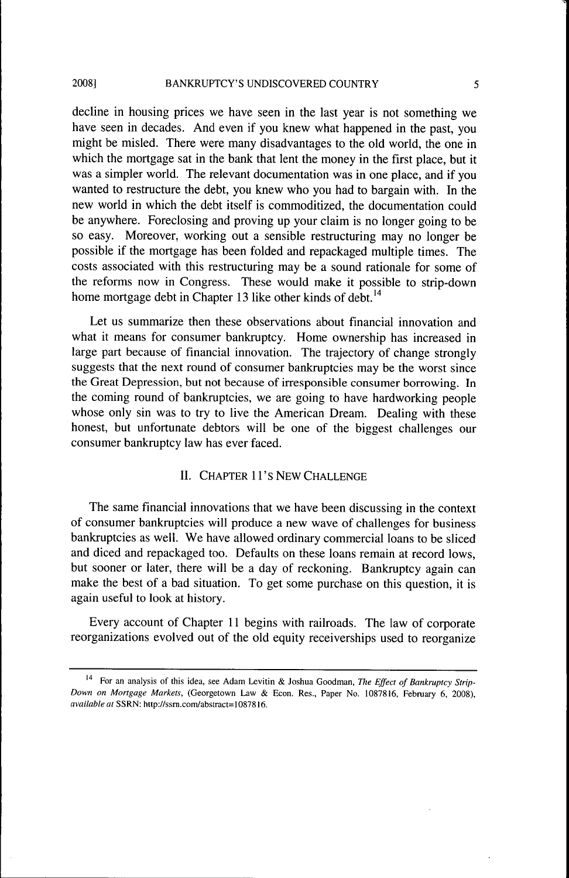decline in housing prices we have seen in the last year is not something we have seen in decades. And even if you knew what happened in the past, you might be misled. There were many disadvantages to the old world, the one in which the mortgage sat in the bank that lent the money in the first place, but it was a simpler world. The relevant documentation was in one place, and if you wanted to restructure the debt, you knew who you had to bargain with. In the new world in which the debt itself is commoditized, the documentation could be anywhere. Foreclosing and proving up your claim is no longer going to be so easy. Moreover, working out a sensible restructuring may no longer be possible if the mortgage has been folded and repackaged multiple times. The costs associated with this restructuring may be a sound rationale for some of the reforms now in Congress. These would make it possible to strip-down home mortgage debt in Chapter 13 like other kinds of debt.<sup>14</sup>

Let us summarize then these observations about financial innovation and what it means for consumer bankruptcy. Home ownership has increased in large part because of financial innovation. The trajectory of change strongly suggests that the next round of consumer bankruptcies may be the worst since the Great Depression, but not because of irresponsible consumer borrowing. In the coming round of bankruptcies, we are going to have hardworking people whose only sin was to try to live the American Dream. Dealing with these honest, but unfortunate debtors will be one of the biggest challenges our consumer bankruptcy law has ever faced.

## II. CHAPTER 11's NEW CHALLENGE

The same financial innovations that we have been discussing in the context of consumer bankruptcies will produce a new wave of challenges for business bankruptcies as well. We have allowed ordinary commercial loans to be sliced and diced and repackaged too. Defaults on these loans remain at record lows, but sooner or later, there will be a day of reckoning. Bankruptcy again can make the best of a bad situation. To get some purchase on this question, it is again useful to look at history.

Every account of Chapter 11 begins with railroads. The law of corporate reorganizations evolved out of the old equity receiverships used to reorganize

<sup>&</sup>lt;sup>14</sup> For an analysis of this idea, see Adam Levitin & Joshua Goodman, The Effect of Bankruptcy Strip-*Down on Mortgage Markets,* (Georgetown Law & Econ. Res., Paper No. 1087816. February 6, 2008). *available at SSRN:* http://ssm.com/abstract=10878l6.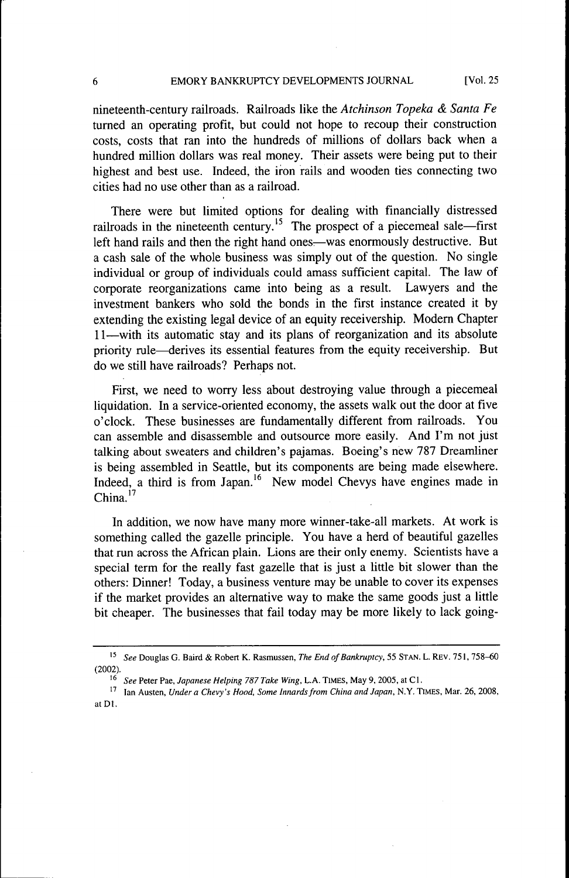6 EMORY BANKRUPTCY DEVELOPMENTS JOURNAL [Vol. 25

nineteenth-century railroads. Railroads like the *Atchinson Topeka & Santa Fe* turned an operating profit, but could not hope to recoup their construction costs, costs that ran into the hundreds of millions of dollars back when a hundred million dollars was real money. Their assets were being put to their highest and best use. Indeed, the iron rails and wooden ties connecting two cities had no use other than as a railroad.

There were but limited options for dealing with financially distressed railroads in the nineteenth century.<sup>15</sup> The prospect of a piecemeal sale—first left hand rails and then the right hand ones—was enormously destructive. But a cash sale of the whole business was simply out of the question. No single individual or group of individuals could amass sufficient capital. The law of corporate reorganizations came into being as a result. Lawyers and the investment bankers who sold the bonds in the first instance created it by extending the existing legal device of an equity receivership. Modem Chapter 11—with its automatic stay and its plans of reorganization and its absolute priority rule—derives its essential features from the equity receivership. But do we still have railroads? Perhaps not.

First, we need to worry less about destroying value through a piecemeal liquidation. In a service-oriented economy, the assets walk out the door at five o'clock. These businesses are fundamentally different from railroads. You can assemble and disassemble and outsource more easily. And I'm not just talking about sweaters and children's pajamas. Boeing's new 787 Dreamliner is being assembled in Seattle, but its components are being made elsewhere. Indeed, a third is from Japan.<sup>16</sup> New model Chevys have engines made in China.<sup>17</sup>

In addition, we now have many more winner-take-all markets. At work is something called the gazelle principle. You have a herd of beautiful gazelles that run across the African plain. Lions are their only enemy. Scientists have a special term for the really fast gazelle that is just a little bit slower than the others: Dinner! Today, a business venture may be unable to cover its expenses if the market provides an alternative way to make the same goods just a little bit cheaper. The businesses that fail today may be more likely to lack going-

<sup>&</sup>lt;sup>15</sup> See Douglas G. Baird & Robert K. Rasmussen, *The End of Bankruptcy*, 55 STAN. L. REV. 751, 758–60 (2002).

<sup>&</sup>lt;sup>16</sup> See Peter Pae, *Japanese Helping 787 Take Wing*, L.A. TIMES, May 9, 2005, at Cl.<br><sup>17</sup> Jan Austan *Jipdang Chamis Hood, Some Impares from China and Japan*, N.Y. Th

<sup>&</sup>quot; Ian Austen, *Under a Chevy's Hood. Some Innards from China and Japan,* N.Y. TIMES, Mar. 26, 2008, atDl.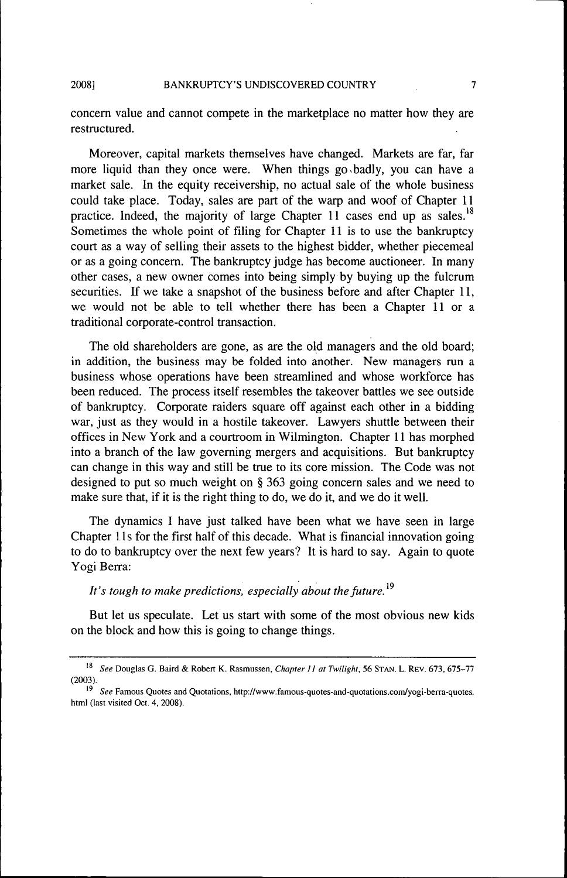concern value and cannot compete in the marketplace no matter how they are restructured.

Moreover, capital markets themselves have changed. Markets are far, far more liquid than they once were. When things go.badly, you can have a market sale. In the equity receivership, no actual sale of the whole business could take place. Today, sales are part of the warp and woof of Chapter 11 practice. Indeed, the majority of large Chapter 11 cases end up as sales.<sup>18</sup> Sometimes the whole point of filing for Chapter 11 is to use the bankruptcy court as a way of selling their assets to the highest bidder, whether piecemeal or as a going concern. The bankruptcy judge has become auctioneer. In many other cases, a new owner comes into being simply by buying up the fulcrum securities. If we take a snapshot of the business before and after Chapter 11, we would not be able to tell whether there has been a Chapter 11 or a traditional corporate-control transaction.

The old shareholders are gone, as are the old managers and the old board; in addition, the business may be folded into another. New managers run a business whose operations have been streamlined and whose workforce has been reduced. The process itself resembles the takeover battles we see outside of bankruptcy. Corporate raiders square off against each other in a bidding war, just as they would in a hostile takeover. Lawyers shuttle between their offices in New York and a courtroom in Wilmington. Chapter 11 has morphed into a branch of the law governing mergers and acquisitions. But bankruptcy can change in this way and still be true to its core mission. The Code was not designed to put so much weight on § 363 going concern sales and we need to make sure that, if it is the right thing to do, we do it, and we do it well.

The dynamics I have just talked have been what we have seen in large Chapter 11s for the first half of this decade. What is financial innovation going to do to bankruptcy over the next few years? It is hard to say. Again to quote Yogi Berra:

# It's tough to make predictions, especially about the future.<sup>19</sup>

But let us speculate. Let us start with some of the most obvious new kids on the block and how this is going to change things.

<sup>&#</sup>x27;\* *See* Douglas G. Baird & Robert K. Rasmussen, *Chapter 11 at Twilight,* 56 STAN. L. REV. 673, 675-77 (2003).

<sup>&</sup>lt;sup>19</sup> See Famous Quotes and Quotations, http://www.famous-quotes-and-quotations.com/yogi-berra-quotes. html (last visited Oct. 4, 2008).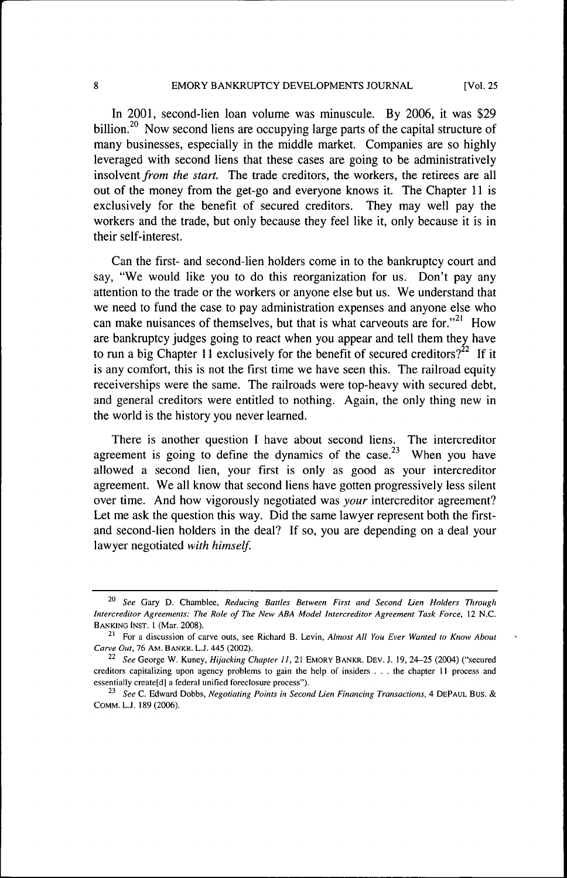In 2001, second-lien loan volume was minuscule. By 2006, it was \$29 billion.<sup>20</sup> Now second liens are occupying large parts of the capital structure of many businesses, especially in the middle market. Companies are so highly leveraged with second liens that these cases are going to be administratively insolvent from the start. The trade creditors, the workers, the retirees are all out of the money from the get-go and everyone knows it. The Chapter 11 is exclusively for the benefit of secured creditors. They may well pay the exclusively for the benefit of secured creditors. They may well pay the<br>workers and the trade but only because they feel like it only because it is in workers and the trade, but only because they feel like it, only because it is in<br>their celf-interect their self-interest.

Can the first- and second-lien holders come in to the bankruptcy court and say, "We would like you to do this reorganization for us. Don't pay any attention to the trade or the workers or anyone else but us. We understand that we need to fund the case to pay administration expenses and anyone else who can make nuisances of themselves, but that is what carveouts are for. $"^{21}$  How are bankruptcy judges going to react when you appear and tell them they have to run a big Chapter 11 exclusively for the benefit of secured creditors?<sup>22</sup> If it is any comfort, this is not the first time we have seen this. The railroad equity receiverships were the same. The railroads were top-heavy with secured debt, and general creditors were entitled to nothing. Again, the only thing new in the world is the history you never learned.

There is another question I have about second liens. The intercreditor agreement is going to define the dynamics of the case.<sup>23</sup> When you have allowed a second lien, your first is only as good as your intercreditor agreement. We all know that second liens have gotten progressively less silent over time. And how vigorously negotiated was *your* intercreditor agreement? Let me ask the question this way. Did the same lawyer represent both the firstand second-lien holders in the deal? If so, you are depending on a deal your lawyer negotiated *with himself.*

<sup>^&#</sup>x27;^ *See* Gary D. Chamblee, *Reducing Battles Between First and Second Lien Holders Through Intercreditor Agreements: The Role of The New ABA Model Intercreditor Agreement Task Force,* 12 N.C. BANKING INST. 1 (Mar. 2008).

<sup>&</sup>lt;sup>21</sup> For a discussion of carve outs, see Richard B. Levin, *Almost All You Ever Wanted to Know About Carve Out,* 76 AM. BANKR. L.J. 445 (2002).

<sup>&</sup>lt;sup>22</sup> See George W. Kuney, *Hijacking Chapter II*, 21 EMORY BANKR. DEV. J. 19, 24-25 (2004) ("secured creditors capitalizing upon agency problems to gain the help of insiders .. . the chapter 11 process and essentially create[d] a federal unified foreclosure process").

<sup>&</sup>lt;sup>23</sup> See C. Edward Dobbs, *Negotiating Points in Second Lien Financing Transactions*, 4 DEPAUL BUS. & COMM. L.J. 189(2006).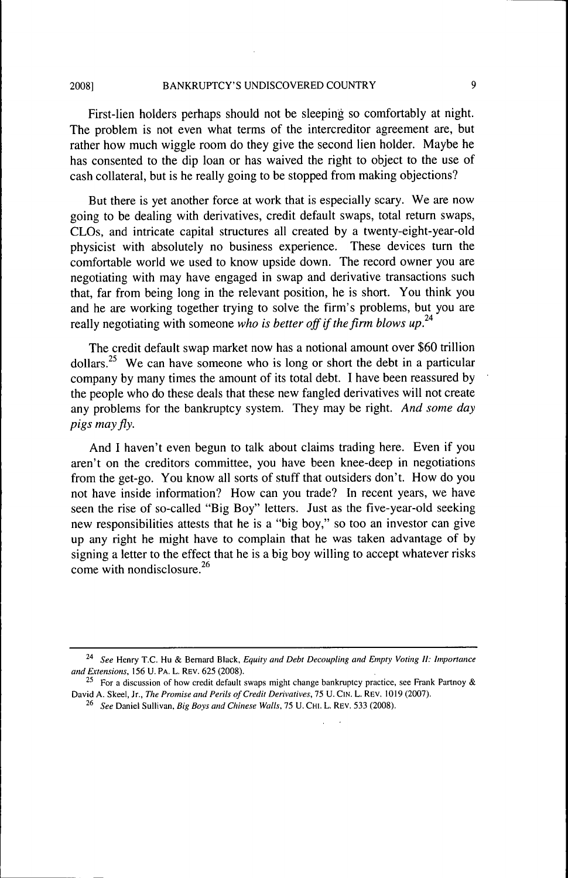First-lien holders perhaps should not be sleeping so comfortably at night. The problem is not even what terms of the intercreditor agreement are, but rather how much wiggle room do they give the second lien holder. Maybe he has consented to the dip loan or has waived the right to object to the use of cash collateral, but is he really going to be stopped from making objections?

But there is yet another force at work that is especially scary. We are now going to be dealing with derivatives, credit default swaps, total return swaps, CLOs, and intricate capital structures all created by a twenty-eight-year-old physicist with absolutely no business experience. These devices turn the comfortable world we used to know upside down. The record owner you are negotiating with may have engaged in swap and derivative transactions such that, far from being long in the relevant position, he is short. You think you and he are working together trying to solve the firm's problems, but you are really negotiating with someone *who is better off if the firm blows up.*

The credit default swap market now has a notional amount over \$60 trillion dollars.<sup>25</sup> We can have someone who is long or short the debt in a particular company by many times the amount of its total debt. I have been reassured by the people who do these deals that these new fangled derivatives will not create any problems for the bankruptcy system. They may be right. *And some day pigs mayfly.*

And I haven't even begun to talk about claims trading here. Even if you aren't on the creditors committee, you have been knee-deep in negotiations from the get-go. You know all sorts of stuff that outsiders don't. How do you not have inside information? How can you trade? In recent years, we have seen the rise of so-called "Big Boy" letters. Just as the five-year-old seeking new responsibilities attests that he is a "big boy," so too an investor can give up any right he might have to complain that he was taken advantage of by signing a letter to the effect that he is a big boy willing to accept whatever risks come with nondisclosure. $26$ 

*<sup>^\*</sup> See* Henry T.C. Hu & Bernard Black, *Equity and Debt Decoupling and Empty Voting II: Importance and Extensions,* 156 U. PA. L. REV. 625 (2008).

<sup>&</sup>lt;sup>25</sup> For a discussion of how credit default swaps might change bankruptcy practice, see Frank Partnoy & David A. Skeel, Jr., The Promise and Perils of Credit Derivatives, 75 U. CIN. L. REV. 1019 (2007).

<sup>^\*</sup> *See* Daniel Sullivan, *Big Boys and Chinese Walls,* 75 U. CHt. L. REV. 533 (2008).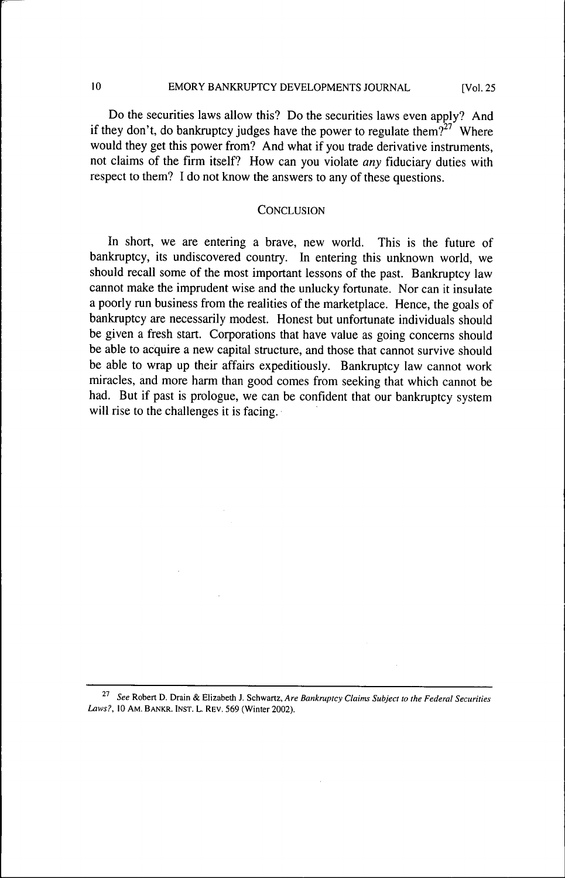## 10 EMORY BANKRUPTCY DEVELOPMENTS JOURNAL [Vol. 25

Do the securities laws allow this? Do the securities laws even apply? And if they don't, do bankruptcy judges have the power to regulate them?<sup> $2^{27}$ </sup> Where would they get this power from? And what if you trade derivative instruments, not claims of the firm itself? How can you violate *any* fiduciary duties with respect to them? I do not know the answers to any of these questions.

## **CONCLUSION**

In short, we are entering a brave, new world. This is the future of bankruptcy, its undiscovered country. In entering this unknown world, we should recall some of the most important lessons of the past. Bankruptcy law cannot make the imprudent wise and the unlucky fortunate. Nor can it insulate a poorly run business from the realities of the marketplace. Hence, the goals of bankruptcy are necessarily modest. Honest but unfortunate individuals should be given a fresh start. Corporations that have value as going concerns should be able to acquire a new capital structure, and those that cannot survive should be able to wrap up their affairs expeditiously. Bankruptcy law cannot work miracles, and more harm than good comes from seeking that which cannot be had. But if past is prologue, we can be confident that our bankruptcy system will rise to the challenges it is facing.

<sup>^&#</sup>x27; *See* Robert D. Drain & Elizabeth J. Schwartz, *Are Bankruptcy Claims Subject to the Federal Securities Laws?,* 10 AM. BANKR. INST. L. REV. 569 (Winter 2002).